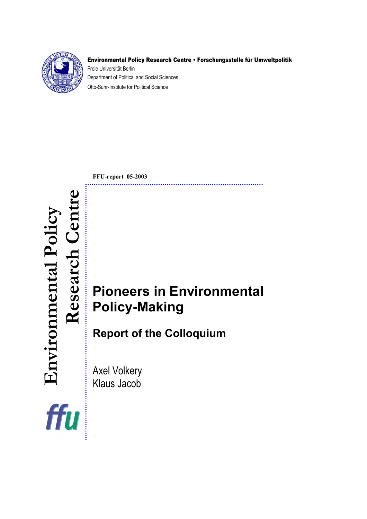

#### Environmental Policy Research Centre • Forschungsstelle für Umweltpolitik

Freie Universität Berlin Department of Political and Social Sciences Otto-Suhr-Institute for Political Science

**FFU-report 05-2003** 

....................

# **Research CENT**<br> **Research CENT**<br> **Research Centre** Policy-Making<br> **Research CENT**<br> **Respectively Policy-Making Policy-Making**

**Report of the Colloquium** 

Axel Volkery Klaus Jacob

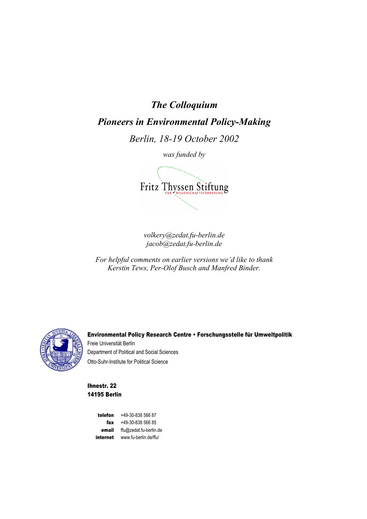# *The Colloquium*

# *Pioneers in Environmental Policy-Making*

*Berlin, 18-19 October 2002* 

*was funded by*



*volkery@zedat.fu-berlin.de jacob@zedat.fu-berlin.de* 

*For helpful comments on earlier versions we'd like to thank Kerstin Tews, Per-Olof Busch and Manfred Binder.*



Environmental Policy Research Centre • Forschungsstelle für Umweltpolitik Freie Universität Berlin Department of Political and Social Sciences Otto-Suhr-Institute for Political Science

Ihnestr. 22 14195 Berlin

> telefon +49-30-838 566 87 fax +49-30-838 566 85 email ffu@zedat.fu-berlin.de internet www.fu-berlin.de/ffu/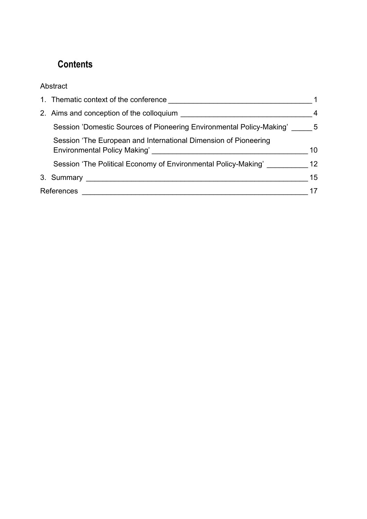# **Contents**

# Abstract

|            | 1. Thematic context of the conference example of the state of the conference of the state of the state of the state of the state of the state of the state of the state of the state of the state of the state of the state of |                |
|------------|--------------------------------------------------------------------------------------------------------------------------------------------------------------------------------------------------------------------------------|----------------|
|            |                                                                                                                                                                                                                                | $\overline{4}$ |
|            | Session 'Domestic Sources of Pioneering Environmental Policy-Making' 5                                                                                                                                                         |                |
|            | Session 'The European and International Dimension of Pioneering                                                                                                                                                                | 10             |
|            | Session 'The Political Economy of Environmental Policy-Making'                                                                                                                                                                 | 12             |
|            |                                                                                                                                                                                                                                | 15             |
| References |                                                                                                                                                                                                                                |                |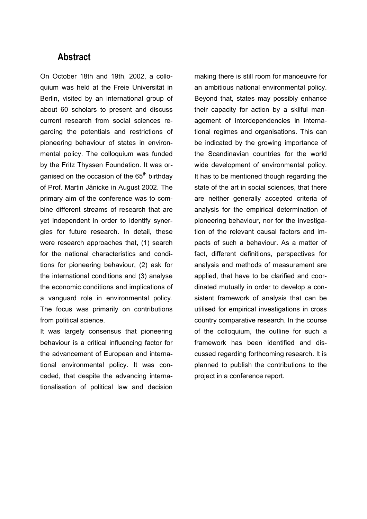# **Abstract**

On October 18th and 19th, 2002, a colloquium was held at the Freie Universität in Berlin, visited by an international group of about 60 scholars to present and discuss current research from social sciences regarding the potentials and restrictions of pioneering behaviour of states in environmental policy. The colloquium was funded by the Fritz Thyssen Foundation. It was organised on the occasion of the  $65<sup>th</sup>$  birthday of Prof. Martin Jänicke in August 2002. The primary aim of the conference was to combine different streams of research that are yet independent in order to identify synergies for future research. In detail, these were research approaches that, (1) search for the national characteristics and conditions for pioneering behaviour, (2) ask for the international conditions and (3) analyse the economic conditions and implications of a vanguard role in environmental policy. The focus was primarily on contributions from political science.

It was largely consensus that pioneering behaviour is a critical influencing factor for the advancement of European and international environmental policy. It was conceded, that despite the advancing internationalisation of political law and decision making there is still room for manoeuvre for an ambitious national environmental policy. Beyond that, states may possibly enhance their capacity for action by a skilful management of interdependencies in international regimes and organisations. This can be indicated by the growing importance of the Scandinavian countries for the world wide development of environmental policy. It has to be mentioned though regarding the state of the art in social sciences, that there are neither generally accepted criteria of analysis for the empirical determination of pioneering behaviour, nor for the investigation of the relevant causal factors and impacts of such a behaviour. As a matter of fact, different definitions, perspectives for analysis and methods of measurement are applied, that have to be clarified and coordinated mutually in order to develop a consistent framework of analysis that can be utilised for empirical investigations in cross country comparative research. In the course of the colloquium, the outline for such a framework has been identified and discussed regarding forthcoming research. It is planned to publish the contributions to the project in a conference report.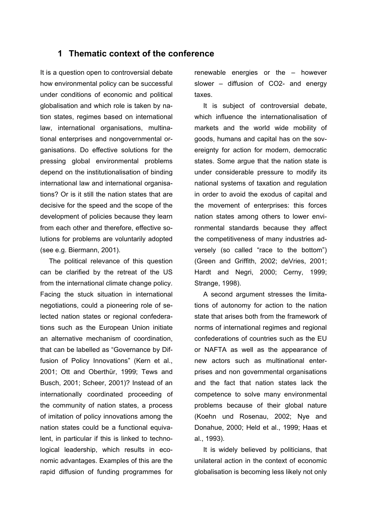#### **1 Thematic context of the conference**

It is a question open to controversial debate how environmental policy can be successful under conditions of economic and political globalisation and which role is taken by nation states, regimes based on international law, international organisations, multinational enterprises and nongovernmental organisations. Do effective solutions for the pressing global environmental problems depend on the institutionalisation of binding international law and international organisations? Or is it still the nation states that are decisive for the speed and the scope of the development of policies because they learn from each other and therefore, effective solutions for problems are voluntarily adopted (see e.g. Biermann, 2001).

The political relevance of this question can be clarified by the retreat of the US from the international climate change policy. Facing the stuck situation in international negotiations, could a pioneering role of selected nation states or regional confederations such as the European Union initiate an alternative mechanism of coordination, that can be labelled as "Governance by Diffusion of Policy Innovations" (Kern et al., 2001; Ott and Oberthür, 1999; Tews and Busch, 2001; Scheer, 2001)? Instead of an internationally coordinated proceeding of the community of nation states, a process of imitation of policy innovations among the nation states could be a functional equivalent, in particular if this is linked to technological leadership, which results in economic advantages. Examples of this are the rapid diffusion of funding programmes for

renewable energies or the – however slower – diffusion of CO2- and energy taxes.

It is subject of controversial debate, which influence the internationalisation of markets and the world wide mobility of goods, humans and capital has on the sovereignty for action for modern, democratic states. Some argue that the nation state is under considerable pressure to modify its national systems of taxation and regulation in order to avoid the exodus of capital and the movement of enterprises: this forces nation states among others to lower environmental standards because they affect the competitiveness of many industries adversely (so called "race to the bottom") (Green and Griffith, 2002; deVries, 2001; Hardt and Negri, 2000; Cerny, 1999; Strange, 1998).

A second argument stresses the limitations of autonomy for action to the nation state that arises both from the framework of norms of international regimes and regional confederations of countries such as the EU or NAFTA as well as the appearance of new actors such as multinational enterprises and non governmental organisations and the fact that nation states lack the competence to solve many environmental problems because of their global nature (Koehn und Rosenau, 2002; Nye and Donahue, 2000; Held et al., 1999; Haas et al., 1993).

It is widely believed by politicians, that unilateral action in the context of economic globalisation is becoming less likely not only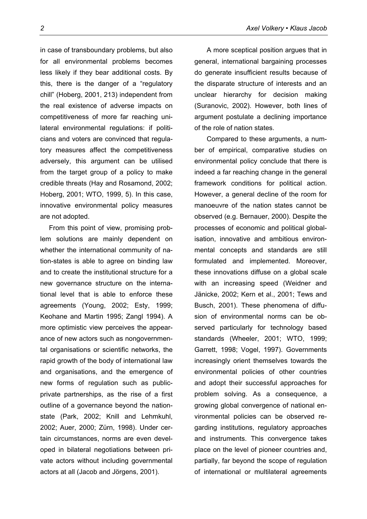in case of transboundary problems, but also for all environmental problems becomes less likely if they bear additional costs. By this, there is the danger of a "regulatory chill" (Hoberg, 2001, 213) independent from the real existence of adverse impacts on competitiveness of more far reaching unilateral environmental regulations: if politicians and voters are convinced that regulatory measures affect the competitiveness adversely, this argument can be utilised from the target group of a policy to make credible threats (Hay and Rosamond, 2002; Hoberg, 2001; WTO, 1999, 5). In this case, innovative environmental policy measures are not adopted.

From this point of view, promising problem solutions are mainly dependent on whether the international community of nation-states is able to agree on binding law and to create the institutional structure for a new governance structure on the international level that is able to enforce these agreements (Young, 2002; Esty, 1999; Keohane and Martin 1995; Zangl 1994). A more optimistic view perceives the appearance of new actors such as nongovernmental organisations or scientific networks, the rapid growth of the body of international law and organisations, and the emergence of new forms of regulation such as publicprivate partnerships, as the rise of a first outline of a governance beyond the nationstate (Park, 2002; Knill and Lehmkuhl, 2002; Auer, 2000; Zürn, 1998). Under certain circumstances, norms are even developed in bilateral negotiations between private actors without including governmental actors at all (Jacob and Jörgens, 2001).

A more sceptical position argues that in general, international bargaining processes do generate insufficient results because of the disparate structure of interests and an unclear hierarchy for decision making (Suranovic, 2002). However, both lines of argument postulate a declining importance of the role of nation states.

Compared to these arguments, a number of empirical, comparative studies on environmental policy conclude that there is indeed a far reaching change in the general framework conditions for political action. However, a general decline of the room for manoeuvre of the nation states cannot be observed (e.g. Bernauer, 2000). Despite the processes of economic and political globalisation, innovative and ambitious environmental concepts and standards are still formulated and implemented. Moreover, these innovations diffuse on a global scale with an increasing speed (Weidner and Jänicke, 2002; Kern et al., 2001; Tews and Busch, 2001). These phenomena of diffusion of environmental norms can be observed particularly for technology based standards (Wheeler, 2001; WTO, 1999; Garrett, 1998; Vogel, 1997). Governments increasingly orient themselves towards the environmental policies of other countries and adopt their successful approaches for problem solving. As a consequence, a growing global convergence of national environmental policies can be observed regarding institutions, regulatory approaches and instruments. This convergence takes place on the level of pioneer countries and, partially, far beyond the scope of regulation of international or multilateral agreements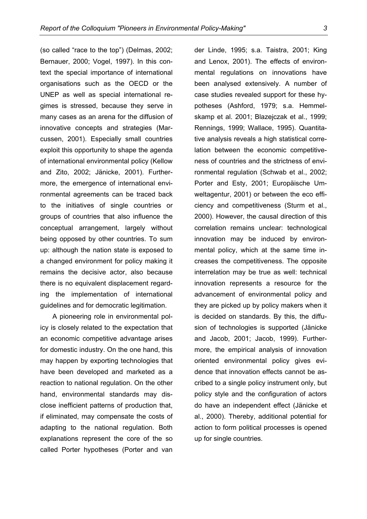(so called "race to the top") (Delmas, 2002; Bernauer, 2000; Vogel, 1997). In this context the special importance of international organisations such as the OECD or the UNEP as well as special international regimes is stressed, because they serve in many cases as an arena for the diffusion of innovative concepts and strategies (Marcussen, 2001). Especially small countries exploit this opportunity to shape the agenda of international environmental policy (Kellow and Zito, 2002; Jänicke, 2001). Furthermore, the emergence of international environmental agreements can be traced back to the initiatives of single countries or groups of countries that also influence the conceptual arrangement, largely without being opposed by other countries. To sum up: although the nation state is exposed to a changed environment for policy making it remains the decisive actor, also because there is no equivalent displacement regarding the implementation of international guidelines and for democratic legitimation.

A pioneering role in environmental policy is closely related to the expectation that an economic competitive advantage arises for domestic industry. On the one hand, this may happen by exporting technologies that have been developed and marketed as a reaction to national regulation. On the other hand, environmental standards may disclose inefficient patterns of production that, if eliminated, may compensate the costs of adapting to the national regulation. Both explanations represent the core of the so called Porter hypotheses (Porter and van

der Linde, 1995; s.a. Taistra, 2001; King and Lenox, 2001). The effects of environmental regulations on innovations have been analysed extensively. A number of case studies revealed support for these hypotheses (Ashford, 1979; s.a. Hemmelskamp et al. 2001; Blazejczak et al., 1999; Rennings, 1999; Wallace, 1995). Quantitative analysis reveals a high statistical correlation between the economic competitiveness of countries and the strictness of environmental regulation (Schwab et al., 2002; Porter and Esty, 2001; Europäische Umweltagentur, 2001) or between the eco efficiency and competitiveness (Sturm et al., 2000). However, the causal direction of this correlation remains unclear: technological innovation may be induced by environmental policy, which at the same time increases the competitiveness. The opposite interrelation may be true as well: technical innovation represents a resource for the advancement of environmental policy and they are picked up by policy makers when it is decided on standards. By this, the diffusion of technologies is supported (Jänicke and Jacob, 2001; Jacob, 1999). Furthermore, the empirical analysis of innovation oriented environmental policy gives evidence that innovation effects cannot be ascribed to a single policy instrument only, but policy style and the configuration of actors do have an independent effect (Jänicke et al., 2000). Thereby, additional potential for action to form political processes is opened up for single countries.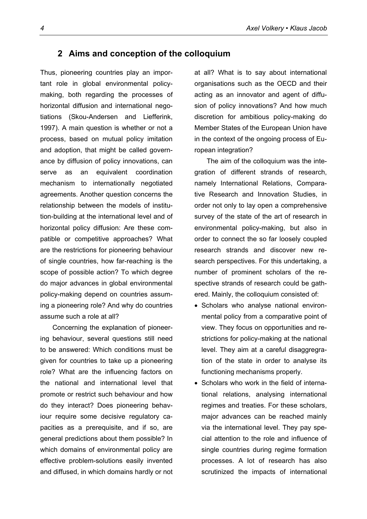#### **2 Aims and conception of the colloquium**

Thus, pioneering countries play an important role in global environmental policymaking, both regarding the processes of horizontal diffusion and international negotiations (Skou-Andersen and Liefferink, 1997). A main question is whether or not a process, based on mutual policy imitation and adoption, that might be called governance by diffusion of policy innovations, can serve as an equivalent coordination mechanism to internationally negotiated agreements. Another question concerns the relationship between the models of institution-building at the international level and of horizontal policy diffusion: Are these compatible or competitive approaches? What are the restrictions for pioneering behaviour of single countries, how far-reaching is the scope of possible action? To which degree do major advances in global environmental policy-making depend on countries assuming a pioneering role? And why do countries assume such a role at all?

Concerning the explanation of pioneering behaviour, several questions still need to be answered: Which conditions must be given for countries to take up a pioneering role? What are the influencing factors on the national and international level that promote or restrict such behaviour and how do they interact? Does pioneering behaviour require some decisive regulatory capacities as a prerequisite, and if so, are general predictions about them possible? In which domains of environmental policy are effective problem-solutions easily invented and diffused, in which domains hardly or not at all? What is to say about international organisations such as the OECD and their acting as an innovator and agent of diffusion of policy innovations? And how much discretion for ambitious policy-making do Member States of the European Union have in the context of the ongoing process of European integration?

The aim of the colloquium was the integration of different strands of research, namely International Relations, Comparative Research and Innovation Studies, in order not only to lay open a comprehensive survey of the state of the art of research in environmental policy-making, but also in order to connect the so far loosely coupled research strands and discover new research perspectives. For this undertaking, a number of prominent scholars of the respective strands of research could be gathered. Mainly, the colloquium consisted of:

- Scholars who analyse national environmental policy from a comparative point of view. They focus on opportunities and restrictions for policy-making at the national level. They aim at a careful disaggregration of the state in order to analyse its functioning mechanisms properly.
- Scholars who work in the field of international relations, analysing international regimes and treaties. For these scholars, major advances can be reached mainly via the international level. They pay special attention to the role and influence of single countries during regime formation processes. A lot of research has also scrutinized the impacts of international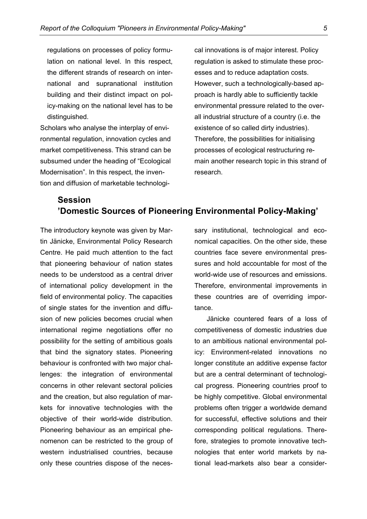regulations on processes of policy formulation on national level. In this respect, the different strands of research on international and supranational institution building and their distinct impact on policy-making on the national level has to be distinguished.

Scholars who analyse the interplay of environmental regulation, innovation cycles and market competitiveness. This strand can be subsumed under the heading of "Ecological Modernisation". In this respect, the invention and diffusion of marketable technological innovations is of major interest. Policy regulation is asked to stimulate these processes and to reduce adaptation costs. However, such a technologically-based approach is hardly able to sufficiently tackle environmental pressure related to the overall industrial structure of a country (i.e. the existence of so called dirty industries). Therefore, the possibilities for initialising processes of ecological restructuring remain another research topic in this strand of research.

# **Session 'Domestic Sources of Pioneering Environmental Policy-Making'**

The introductory keynote was given by Martin Jänicke, Environmental Policy Research Centre. He paid much attention to the fact that pioneering behaviour of nation states needs to be understood as a central driver of international policy development in the field of environmental policy. The capacities of single states for the invention and diffusion of new policies becomes crucial when international regime negotiations offer no possibility for the setting of ambitious goals that bind the signatory states. Pioneering behaviour is confronted with two major challenges: the integration of environmental concerns in other relevant sectoral policies and the creation, but also regulation of markets for innovative technologies with the objective of their world-wide distribution. Pioneering behaviour as an empirical phenomenon can be restricted to the group of western industrialised countries, because only these countries dispose of the necessary institutional, technological and economical capacities. On the other side, these countries face severe environmental pressures and hold accountable for most of the world-wide use of resources and emissions. Therefore, environmental improvements in these countries are of overriding importance.

Jänicke countered fears of a loss of competitiveness of domestic industries due to an ambitious national environmental policy: Environment-related innovations no longer constitute an additive expense factor but are a central determinant of technological progress. Pioneering countries proof to be highly competitive. Global environmental problems often trigger a worldwide demand for successful, effective solutions and their corresponding political regulations. Therefore, strategies to promote innovative technologies that enter world markets by national lead-markets also bear a consider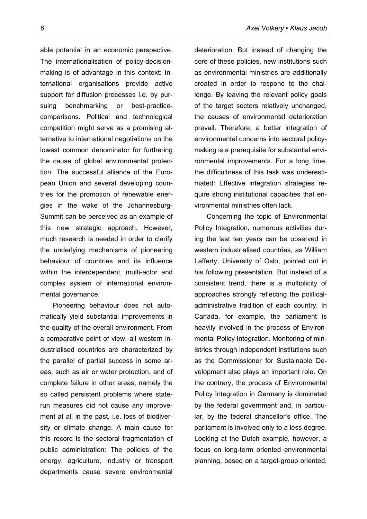able potential in an economic perspective. The internationalisation of policy-decisionmaking is of advantage in this context: International organisations provide active support for diffusion processes i.e. by pursuing benchmarking or best-practicecomparisons. Political and technological competition might serve as a promising alternative to international negotiations on the lowest common denominator for furthering the cause of global environmental protection. The successful alliance of the European Union and several developing countries for the promotion of renewable energies in the wake of the Johannesburg-Summit can be perceived as an example of this new strategic approach. However, much research is needed in order to clarify the underlying mechanisms of pioneering behaviour of countries and its influence within the interdependent, multi-actor and complex system of international environmental governance.

Pioneering behaviour does not automatically yield substantial improvements in the quality of the overall environment. From a comparative point of view, all western industrialised countries are characterized by the parallel of partial success in some areas, such as air or water protection, and of complete failure in other areas, namely the so called persistent problems where staterun measures did not cause any improvement at all in the past, i.e. loss of biodiversity or climate change. A main cause for this record is the sectoral fragmentation of public administration: The policies of the energy, agriculture, industry or transport departments cause severe environmental

deterioration. But instead of changing the core of these policies, new institutions such as environmental ministries are additionally created in order to respond to the challenge. By leaving the relevant policy goals of the target sectors relatively unchanged, the causes of environmental deterioration prevail. Therefore, a better integration of environmental concerns into sectoral policymaking is a prerequisite for substantial environmental improvements. For a long time, the difficultness of this task was underestimated: Effective integration strategies require strong institutional capacities that environmental ministries often lack.

Concerning the topic of Environmental Policy Integration, numerous activities during the last ten years can be observed in western industrialised countries, as William Lafferty, University of Oslo, pointed out in his following presentation. But instead of a consistent trend, there is a multiplicity of approaches strongly reflecting the politicaladministrative tradition of each country. In Canada, for example, the parliament is heavily involved in the process of Environmental Policy Integration. Monitoring of ministries through independent institutions such as the Commissioner for Sustainable Development also plays an important role. On the contrary, the process of Environmental Policy Integration in Germany is dominated by the federal government and, in particular, by the federal chancellor's office. The parliament is involved only to a less degree. Looking at the Dutch example, however, a focus on long-term oriented environmental planning, based on a target-group oriented,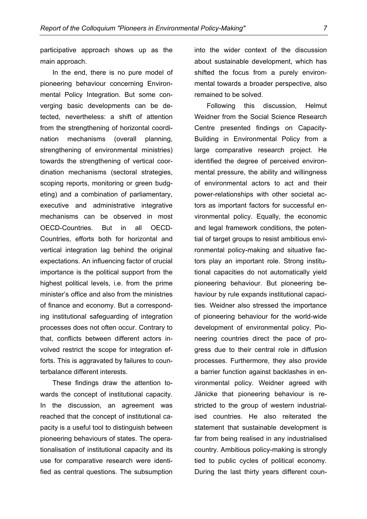participative approach shows up as the main approach.

In the end, there is no pure model of pioneering behaviour concerning Environmental Policy Integration. But some converging basic developments can be detected, nevertheless: a shift of attention from the strengthening of horizontal coordination mechanisms (overall planning, strengthening of environmental ministries) towards the strengthening of vertical coordination mechanisms (sectoral strategies, scoping reports, monitoring or green budgeting) and a combination of parliamentary, executive and administrative integrative mechanisms can be observed in most OECD-Countries. But in all OECD-Countries, efforts both for horizontal and vertical integration lag behind the original expectations. An influencing factor of crucial importance is the political support from the highest political levels, i.e. from the prime minister's office and also from the ministries of finance and economy. But a corresponding institutional safeguarding of integration processes does not often occur. Contrary to that, conflicts between different actors involved restrict the scope for integration efforts. This is aggravated by failures to counterbalance different interests.

These findings draw the attention towards the concept of institutional capacity. In the discussion, an agreement was reached that the concept of institutional capacity is a useful tool to distinguish between pioneering behaviours of states. The operationalisation of institutional capacity and its use for comparative research were identified as central questions. The subsumption into the wider context of the discussion about sustainable development, which has shifted the focus from a purely environmental towards a broader perspective, also remained to be solved.

Following this discussion, Helmut Weidner from the Social Science Research Centre presented findings on Capacity-Building in Environmental Policy from a large comparative research project. He identified the degree of perceived environmental pressure, the ability and willingness of environmental actors to act and their power-relationships with other societal actors as important factors for successful environmental policy. Equally, the economic and legal framework conditions, the potential of target groups to resist ambitious environmental policy-making and situative factors play an important role. Strong institutional capacities do not automatically yield pioneering behaviour. But pioneering behaviour by rule expands institutional capacities. Weidner also stressed the importance of pioneering behaviour for the world-wide development of environmental policy. Pioneering countries direct the pace of progress due to their central role in diffusion processes. Furthermore, they also provide a barrier function against backlashes in environmental policy. Weidner agreed with Jänicke that pioneering behaviour is restricted to the group of western industrialised countries. He also reiterated the statement that sustainable development is far from being realised in any industrialised country. Ambitious policy-making is strongly tied to public cycles of political economy. During the last thirty years different coun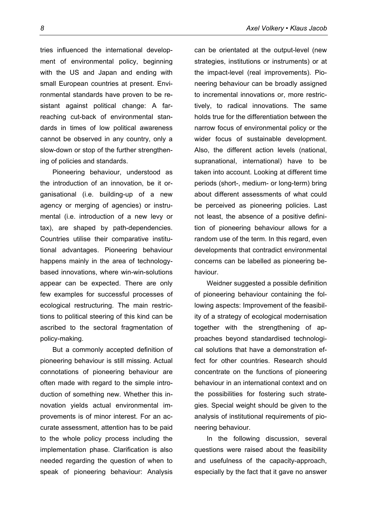tries influenced the international development of environmental policy, beginning with the US and Japan and ending with small European countries at present. Environmental standards have proven to be resistant against political change: A farreaching cut-back of environmental standards in times of low political awareness cannot be observed in any country, only a slow-down or stop of the further strengthening of policies and standards.

Pioneering behaviour, understood as the introduction of an innovation, be it organisational (i.e. building-up of a new agency or merging of agencies) or instrumental (i.e. introduction of a new levy or tax), are shaped by path-dependencies. Countries utilise their comparative institutional advantages. Pioneering behaviour happens mainly in the area of technologybased innovations, where win-win-solutions appear can be expected. There are only few examples for successful processes of ecological restructuring. The main restrictions to political steering of this kind can be ascribed to the sectoral fragmentation of policy-making.

But a commonly accepted definition of pioneering behaviour is still missing. Actual connotations of pioneering behaviour are often made with regard to the simple introduction of something new. Whether this innovation yields actual environmental improvements is of minor interest. For an accurate assessment, attention has to be paid to the whole policy process including the implementation phase. Clarification is also needed regarding the question of when to speak of pioneering behaviour: Analysis

can be orientated at the output-level (new strategies, institutions or instruments) or at the impact-level (real improvements). Pioneering behaviour can be broadly assigned to incremental innovations or, more restrictively, to radical innovations. The same holds true for the differentiation between the narrow focus of environmental policy or the wider focus of sustainable development. Also, the different action levels (national, supranational, international) have to be taken into account. Looking at different time periods (short-, medium- or long-term) bring about different assessments of what could be perceived as pioneering policies. Last not least, the absence of a positive definition of pioneering behaviour allows for a random use of the term. In this regard, even developments that contradict environmental concerns can be labelled as pioneering behaviour.

Weidner suggested a possible definition of pioneering behaviour containing the following aspects: Improvement of the feasibility of a strategy of ecological modernisation together with the strengthening of approaches beyond standardised technological solutions that have a demonstration effect for other countries. Research should concentrate on the functions of pioneering behaviour in an international context and on the possibilities for fostering such strategies. Special weight should be given to the analysis of institutional requirements of pioneering behaviour.

In the following discussion, several questions were raised about the feasibility and usefulness of the capacity-approach, especially by the fact that it gave no answer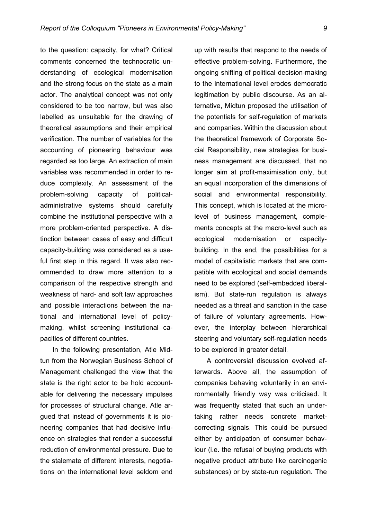to the question: capacity, for what? Critical comments concerned the technocratic understanding of ecological modernisation and the strong focus on the state as a main actor. The analytical concept was not only considered to be too narrow, but was also labelled as unsuitable for the drawing of theoretical assumptions and their empirical verification. The number of variables for the accounting of pioneering behaviour was regarded as too large. An extraction of main variables was recommended in order to reduce complexity. An assessment of the problem-solving capacity of politicaladministrative systems should carefully combine the institutional perspective with a more problem-oriented perspective. A distinction between cases of easy and difficult capacity-building was considered as a useful first step in this regard. It was also recommended to draw more attention to a comparison of the respective strength and weakness of hard- and soft law approaches and possible interactions between the national and international level of policymaking, whilst screening institutional capacities of different countries.

In the following presentation, Atle Midtun from the Norwegian Business School of Management challenged the view that the state is the right actor to be hold accountable for delivering the necessary impulses for processes of structural change. Atle argued that instead of governments it is pioneering companies that had decisive influence on strategies that render a successful reduction of environmental pressure. Due to the stalemate of different interests, negotiations on the international level seldom end

up with results that respond to the needs of effective problem-solving. Furthermore, the ongoing shifting of political decision-making to the international level erodes democratic legitimation by public discourse. As an alternative, Midtun proposed the utilisation of the potentials for self-regulation of markets and companies. Within the discussion about the theoretical framework of Corporate Social Responsibility, new strategies for business management are discussed, that no longer aim at profit-maximisation only, but an equal incorporation of the dimensions of social and environmental responsibility. This concept, which is located at the microlevel of business management, complements concepts at the macro-level such as ecological modernisation or capacitybuilding. In the end, the possibilities for a model of capitalistic markets that are compatible with ecological and social demands need to be explored (self-embedded liberalism). But state-run regulation is always needed as a threat and sanction in the case of failure of voluntary agreements. However, the interplay between hierarchical steering and voluntary self-regulation needs to be explored in greater detail.

A controversial discussion evolved afterwards. Above all, the assumption of companies behaving voluntarily in an environmentally friendly way was criticised. It was frequently stated that such an undertaking rather needs concrete marketcorrecting signals. This could be pursued either by anticipation of consumer behaviour (i.e. the refusal of buying products with negative product attribute like carcinogenic substances) or by state-run regulation. The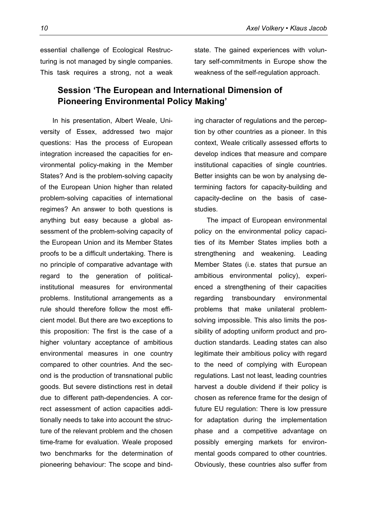essential challenge of Ecological Restructuring is not managed by single companies. This task requires a strong, not a weak

#### **Session 'The European and International Dimension of Pioneering Environmental Policy Making'**

In his presentation, Albert Weale, University of Essex, addressed two major questions: Has the process of European integration increased the capacities for environmental policy-making in the Member States? And is the problem-solving capacity of the European Union higher than related problem-solving capacities of international regimes? An answer to both questions is anything but easy because a global assessment of the problem-solving capacity of the European Union and its Member States proofs to be a difficult undertaking. There is no principle of comparative advantage with regard to the generation of politicalinstitutional measures for environmental problems. Institutional arrangements as a rule should therefore follow the most efficient model. But there are two exceptions to this proposition: The first is the case of a higher voluntary acceptance of ambitious environmental measures in one country compared to other countries. And the second is the production of transnational public goods. But severe distinctions rest in detail due to different path-dependencies. A correct assessment of action capacities additionally needs to take into account the structure of the relevant problem and the chosen time-frame for evaluation. Weale proposed two benchmarks for the determination of pioneering behaviour: The scope and bindstate. The gained experiences with voluntary self-commitments in Europe show the weakness of the self-regulation approach.

ing character of regulations and the perception by other countries as a pioneer. In this context, Weale critically assessed efforts to develop indices that measure and compare institutional capacities of single countries. Better insights can be won by analysing determining factors for capacity-building and capacity-decline on the basis of casestudies.

The impact of European environmental policy on the environmental policy capacities of its Member States implies both a strengthening and weakening. Leading Member States (i.e. states that pursue an ambitious environmental policy), experienced a strengthening of their capacities regarding transboundary environmental problems that make unilateral problemsolving impossible. This also limits the possibility of adopting uniform product and production standards. Leading states can also legitimate their ambitious policy with regard to the need of complying with European regulations. Last not least, leading countries harvest a double dividend if their policy is chosen as reference frame for the design of future EU regulation: There is low pressure for adaptation during the implementation phase and a competitive advantage on possibly emerging markets for environmental goods compared to other countries. Obviously, these countries also suffer from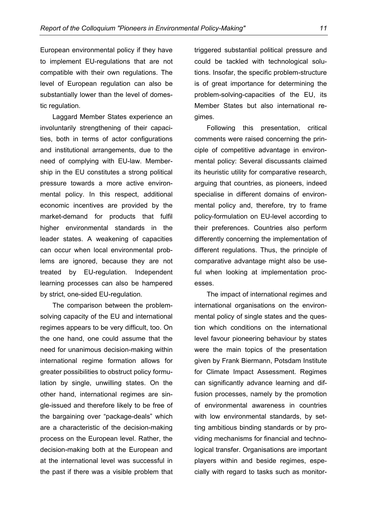European environmental policy if they have to implement EU-regulations that are not compatible with their own regulations. The level of European regulation can also be substantially lower than the level of domestic regulation.

Laggard Member States experience an involuntarily strengthening of their capacities, both in terms of actor configurations and institutional arrangements, due to the need of complying with EU-law. Membership in the EU constitutes a strong political pressure towards a more active environmental policy. In this respect, additional economic incentives are provided by the market-demand for products that fulfil higher environmental standards in the leader states. A weakening of capacities can occur when local environmental problems are ignored, because they are not treated by EU-regulation. Independent learning processes can also be hampered by strict, one-sided EU-regulation.

The comparison between the problemsolving capacity of the EU and international regimes appears to be very difficult, too. On the one hand, one could assume that the need for unanimous decision-making within international regime formation allows for greater possibilities to obstruct policy formulation by single, unwilling states. On the other hand, international regimes are single-issued and therefore likely to be free of the bargaining over "package-deals" which are a characteristic of the decision-making process on the European level. Rather, the decision-making both at the European and at the international level was successful in the past if there was a visible problem that

triggered substantial political pressure and could be tackled with technological solutions. Insofar, the specific problem-structure is of great importance for determining the problem-solving-capacities of the EU, its Member States but also international regimes.

Following this presentation, critical comments were raised concerning the principle of competitive advantage in environmental policy: Several discussants claimed its heuristic utility for comparative research, arguing that countries, as pioneers, indeed specialise in different domains of environmental policy and, therefore, try to frame policy-formulation on EU-level according to their preferences. Countries also perform differently concerning the implementation of different regulations. Thus, the principle of comparative advantage might also be useful when looking at implementation processes.

The impact of international regimes and international organisations on the environmental policy of single states and the question which conditions on the international level favour pioneering behaviour by states were the main topics of the presentation given by Frank Biermann, Potsdam Institute for Climate Impact Assessment. Regimes can significantly advance learning and diffusion processes, namely by the promotion of environmental awareness in countries with low environmental standards, by setting ambitious binding standards or by providing mechanisms for financial and technological transfer. Organisations are important players within and beside regimes, especially with regard to tasks such as monitor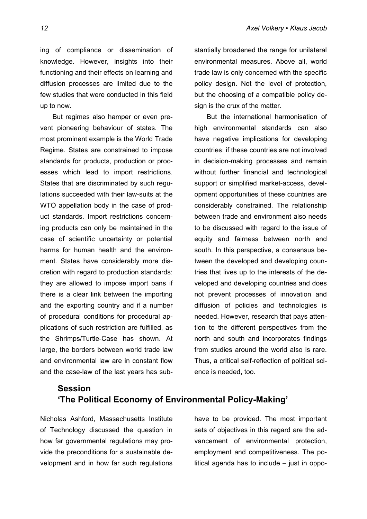ing of compliance or dissemination of knowledge. However, insights into their functioning and their effects on learning and diffusion processes are limited due to the few studies that were conducted in this field up to now.

But regimes also hamper or even prevent pioneering behaviour of states. The most prominent example is the World Trade Regime. States are constrained to impose standards for products, production or processes which lead to import restrictions. States that are discriminated by such regulations succeeded with their law-suits at the WTO appellation body in the case of product standards. Import restrictions concerning products can only be maintained in the case of scientific uncertainty or potential harms for human health and the environment. States have considerably more discretion with regard to production standards: they are allowed to impose import bans if there is a clear link between the importing and the exporting country and if a number of procedural conditions for procedural applications of such restriction are fulfilled, as the Shrimps/Turtle-Case has shown. At large, the borders between world trade law and environmental law are in constant flow and the case-law of the last years has substantially broadened the range for unilateral environmental measures. Above all, world trade law is only concerned with the specific policy design. Not the level of protection, but the choosing of a compatible policy design is the crux of the matter.

But the international harmonisation of high environmental standards can also have negative implications for developing countries: if these countries are not involved in decision-making processes and remain without further financial and technological support or simplified market-access, development opportunities of these countries are considerably constrained. The relationship between trade and environment also needs to be discussed with regard to the issue of equity and fairness between north and south. In this perspective, a consensus between the developed and developing countries that lives up to the interests of the developed and developing countries and does not prevent processes of innovation and diffusion of policies and technologies is needed. However, research that pays attention to the different perspectives from the north and south and incorporates findings from studies around the world also is rare. Thus, a critical self-reflection of political science is needed, too.

# **Session 'The Political Economy of Environmental Policy-Making'**

Nicholas Ashford, Massachusetts Institute of Technology discussed the question in how far governmental regulations may provide the preconditions for a sustainable development and in how far such regulations have to be provided. The most important sets of objectives in this regard are the advancement of environmental protection, employment and competitiveness. The political agenda has to include – just in oppo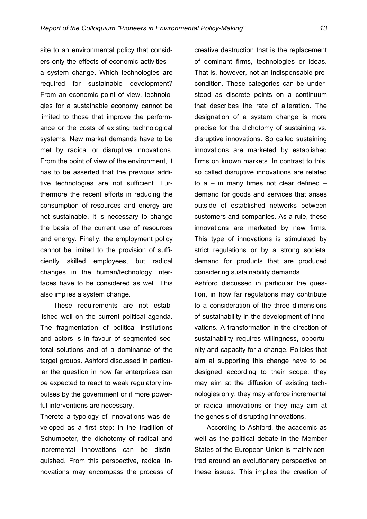site to an environmental policy that considers only the effects of economic activities – a system change. Which technologies are required for sustainable development? From an economic point of view, technologies for a sustainable economy cannot be limited to those that improve the performance or the costs of existing technological systems. New market demands have to be met by radical or disruptive innovations. From the point of view of the environment, it has to be asserted that the previous additive technologies are not sufficient. Furthermore the recent efforts in reducing the consumption of resources and energy are not sustainable. It is necessary to change the basis of the current use of resources and energy. Finally, the employment policy cannot be limited to the provision of sufficiently skilled employees, but radical changes in the human/technology interfaces have to be considered as well. This also implies a system change.

These requirements are not established well on the current political agenda. The fragmentation of political institutions and actors is in favour of segmented sectoral solutions and of a dominance of the target groups. Ashford discussed in particular the question in how far enterprises can be expected to react to weak regulatory impulses by the government or if more powerful interventions are necessary.

Thereto a typology of innovations was developed as a first step: In the tradition of Schumpeter, the dichotomy of radical and incremental innovations can be distinguished. From this perspective, radical innovations may encompass the process of

creative destruction that is the replacement of dominant firms, technologies or ideas. That is, however, not an indispensable precondition. These categories can be understood as discrete points on a continuum that describes the rate of alteration. The designation of a system change is more precise for the dichotomy of sustaining vs. disruptive innovations. So called sustaining innovations are marketed by established firms on known markets. In contrast to this, so called disruptive innovations are related to  $a - in$  many times not clear defined  $$ demand for goods and services that arises outside of established networks between customers and companies. As a rule, these innovations are marketed by new firms. This type of innovations is stimulated by strict regulations or by a strong societal demand for products that are produced considering sustainability demands.

Ashford discussed in particular the question, in how far regulations may contribute to a consideration of the three dimensions of sustainability in the development of innovations. A transformation in the direction of sustainability requires willingness, opportunity and capacity for a change. Policies that aim at supporting this change have to be designed according to their scope: they may aim at the diffusion of existing technologies only, they may enforce incremental or radical innovations or they may aim at the genesis of disrupting innovations.

According to Ashford, the academic as well as the political debate in the Member States of the European Union is mainly centred around an evolutionary perspective on these issues. This implies the creation of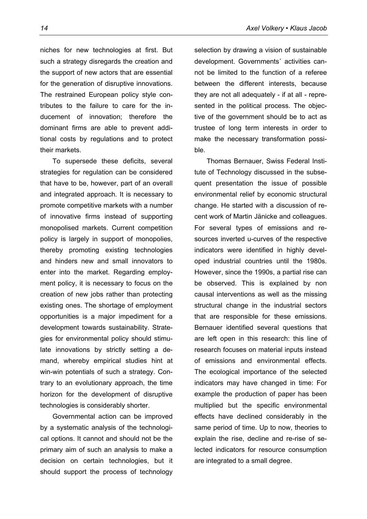niches for new technologies at first. But such a strategy disregards the creation and the support of new actors that are essential for the generation of disruptive innovations. The restrained European policy style contributes to the failure to care for the inducement of innovation; therefore the dominant firms are able to prevent additional costs by regulations and to protect their markets.

To supersede these deficits, several strategies for regulation can be considered that have to be, however, part of an overall and integrated approach. It is necessary to promote competitive markets with a number of innovative firms instead of supporting monopolised markets. Current competition policy is largely in support of monopolies, thereby promoting existing technologies and hinders new and small innovators to enter into the market. Regarding employment policy, it is necessary to focus on the creation of new jobs rather than protecting existing ones. The shortage of employment opportunities is a major impediment for a development towards sustainability. Strategies for environmental policy should stimulate innovations by strictly setting a demand, whereby empirical studies hint at win-win potentials of such a strategy. Contrary to an evolutionary approach, the time horizon for the development of disruptive technologies is considerably shorter.

Governmental action can be improved by a systematic analysis of the technological options. It cannot and should not be the primary aim of such an analysis to make a decision on certain technologies, but it should support the process of technology selection by drawing a vision of sustainable development. Governments´ activities cannot be limited to the function of a referee between the different interests, because they are not all adequately - if at all - represented in the political process. The objective of the government should be to act as trustee of long term interests in order to make the necessary transformation possible.

Thomas Bernauer, Swiss Federal Institute of Technology discussed in the subsequent presentation the issue of possible environmental relief by economic structural change. He started with a discussion of recent work of Martin Jänicke and colleagues. For several types of emissions and resources inverted u-curves of the respective indicators were identified in highly developed industrial countries until the 1980s. However, since the 1990s, a partial rise can be observed. This is explained by non causal interventions as well as the missing structural change in the industrial sectors that are responsible for these emissions. Bernauer identified several questions that are left open in this research: this line of research focuses on material inputs instead of emissions and environmental effects. The ecological importance of the selected indicators may have changed in time: For example the production of paper has been multiplied but the specific environmental effects have declined considerably in the same period of time. Up to now, theories to explain the rise, decline and re-rise of selected indicators for resource consumption are integrated to a small degree.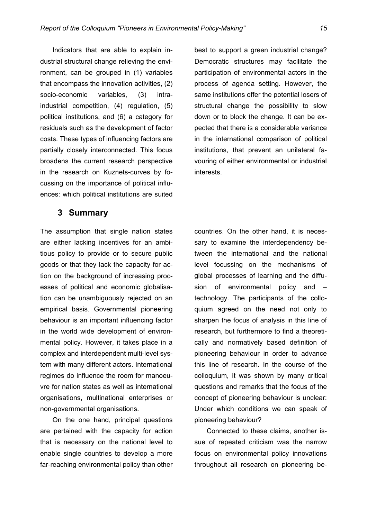Indicators that are able to explain industrial structural change relieving the environment, can be grouped in (1) variables that encompass the innovation activities, (2) socio-economic variables, (3) intraindustrial competition, (4) regulation, (5) political institutions, and (6) a category for residuals such as the development of factor costs. These types of influencing factors are partially closely interconnected. This focus broadens the current research perspective in the research on Kuznets-curves by focussing on the importance of political influences: which political institutions are suited

best to support a green industrial change? Democratic structures may facilitate the participation of environmental actors in the process of agenda setting. However, the same institutions offer the potential losers of structural change the possibility to slow down or to block the change. It can be expected that there is a considerable variance in the international comparison of political institutions, that prevent an unilateral favouring of either environmental or industrial interests.

#### **3 Summary**

The assumption that single nation states are either lacking incentives for an ambitious policy to provide or to secure public goods or that they lack the capacity for action on the background of increasing processes of political and economic globalisation can be unambiguously rejected on an empirical basis. Governmental pioneering behaviour is an important influencing factor in the world wide development of environmental policy. However, it takes place in a complex and interdependent multi-level system with many different actors. International regimes do influence the room for manoeuvre for nation states as well as international organisations, multinational enterprises or non-governmental organisations.

On the one hand, principal questions are pertained with the capacity for action that is necessary on the national level to enable single countries to develop a more far-reaching environmental policy than other

countries. On the other hand, it is necessary to examine the interdependency between the international and the national level focussing on the mechanisms of global processes of learning and the diffusion of environmental policy and – technology. The participants of the colloquium agreed on the need not only to sharpen the focus of analysis in this line of research, but furthermore to find a theoretically and normatively based definition of pioneering behaviour in order to advance this line of research. In the course of the colloquium, it was shown by many critical questions and remarks that the focus of the concept of pioneering behaviour is unclear: Under which conditions we can speak of pioneering behaviour?

Connected to these claims, another issue of repeated criticism was the narrow focus on environmental policy innovations throughout all research on pioneering be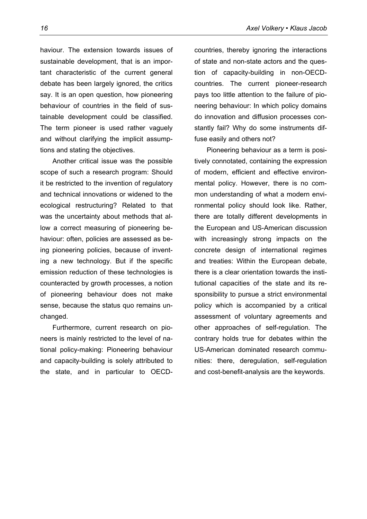haviour. The extension towards issues of sustainable development, that is an important characteristic of the current general debate has been largely ignored, the critics say. It is an open question, how pioneering behaviour of countries in the field of sustainable development could be classified. The term pioneer is used rather vaguely and without clarifying the implicit assumptions and stating the objectives.

Another critical issue was the possible scope of such a research program: Should it be restricted to the invention of regulatory and technical innovations or widened to the ecological restructuring? Related to that was the uncertainty about methods that allow a correct measuring of pioneering behaviour: often, policies are assessed as being pioneering policies, because of inventing a new technology. But if the specific emission reduction of these technologies is counteracted by growth processes, a notion of pioneering behaviour does not make sense, because the status quo remains unchanged.

Furthermore, current research on pioneers is mainly restricted to the level of national policy-making: Pioneering behaviour and capacity-building is solely attributed to the state, and in particular to OECD-

countries, thereby ignoring the interactions of state and non-state actors and the question of capacity-building in non-OECDcountries. The current pioneer-research pays too little attention to the failure of pioneering behaviour: In which policy domains do innovation and diffusion processes constantly fail? Why do some instruments diffuse easily and others not?

Pioneering behaviour as a term is positively connotated, containing the expression of modern, efficient and effective environmental policy. However, there is no common understanding of what a modern environmental policy should look like. Rather, there are totally different developments in the European and US-American discussion with increasingly strong impacts on the concrete design of international regimes and treaties: Within the European debate, there is a clear orientation towards the institutional capacities of the state and its responsibility to pursue a strict environmental policy which is accompanied by a critical assessment of voluntary agreements and other approaches of self-regulation. The contrary holds true for debates within the US-American dominated research communities: there, deregulation, self-regulation and cost-benefit-analysis are the keywords.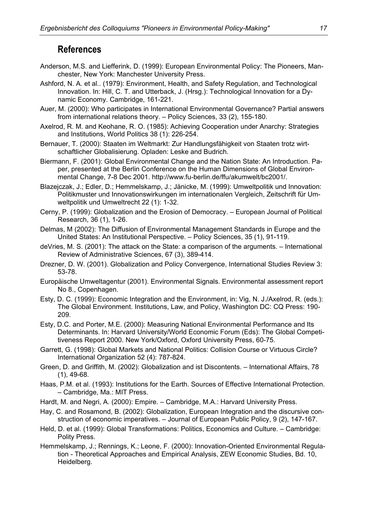# **References**

- Anderson, M.S. and Liefferink, D. (1999): European Environmental Policy: The Pioneers, Manchester, New York: Manchester University Press.
- Ashford, N. A. et al.. (1979): Environment, Health, and Safety Regulation, and Technological Innovation. In: Hill, C. T. and Utterback, J. (Hrsg.): Technological Innovation for a Dynamic Economy. Cambridge, 161-221.
- Auer, M. (2000): Who participates in International Environmental Governance? Partial answers from international relations theory. – Policy Sciences, 33 (2), 155-180.
- Axelrod, R. M. and Keohane, R. O. (1985): Achieving Cooperation under Anarchy: Strategies and Institutions, World Politics 38 (1): 226-254.
- Bernauer, T. (2000): Staaten im Weltmarkt: Zur Handlungsfähigkeit von Staaten trotz wirtschaftlicher Globalisierung. Opladen: Leske and Budrich.
- Biermann, F. (2001): Global Environmental Change and the Nation State: An Introduction. Paper, presented at the Berlin Conference on the Human Dimensions of Global Environmental Change, 7-8 Dec 2001. http://www.fu-berlin.de/ffu/akumwelt/bc2001/.
- Blazejczak, J.; Edler, D.; Hemmelskamp, J.; Jänicke, M. (1999): Umweltpolitik und Innovation: Politikmuster und Innovationswirkungen im internationalen Vergleich, Zeitschrift für Umweltpolitik und Umweltrecht 22 (1): 1-32.
- Cerny, P. (1999): Globalization and the Erosion of Democracy. European Journal of Political Research, 36 (1), 1-26.
- Delmas, M (2002): The Diffusion of Environmental Management Standards in Europe and the United States: An Institutional Perspective. – Policy Sciences, 35 (1), 91-119.
- deVries, M. S. (2001): The attack on the State: a comparison of the arguments. International Review of Administrative Sciences, 67 (3), 389-414.
- Drezner, D. W. (2001). Globalization and Policy Convergence, International Studies Review 3: 53-78.
- Europäische Umweltagentur (2001). Environmental Signals. Environmental assessment report No 8., Copenhagen.
- Esty, D. C. (1999): Economic Integration and the Environment, in: Vig, N. J./Axelrod, R. (eds.): The Global Environment. Institutions, Law, and Policy, Washington DC: CQ Press: 190- 209.
- Esty, D.C. and Porter, M.E. (2000): Measuring National Environmental Performance and Its Determinants. In: Harvard University/World Economic Forum (Eds): The Global Competitiveness Report 2000. New York/Oxford, Oxford University Press, 60-75.
- Garrett, G. (1998): Global Markets and National Politics: Collision Course or Virtuous Circle? International Organization 52 (4): 787-824.
- Green, D. and Griffith, M. (2002): Globalization and ist Discontents. International Affairs, 78 (1), 49-68.
- Haas, P.M. et al. (1993): Institutions for the Earth. Sources of Effective International Protection. – Cambridge, Ma.: MIT Press.
- Hardt, M. and Negri, A. (2000): Empire. Cambridge, M.A.: Harvard University Press.
- Hay, C. and Rosamond, B. (2002): Globalization, European Integration and the discursive construction of economic imperatives. – Journal of European Public Policy, 9 (2), 147-167.
- Held, D. et al. (1999): Global Transformations: Politics, Economics and Culture. Cambridge: Polity Press.
- Hemmelskamp, J.; Rennings, K.; Leone, F. (2000): Innovation-Oriented Environmental Regulation - Theoretical Approaches and Empirical Analysis, ZEW Economic Studies, Bd. 10, Heidelberg.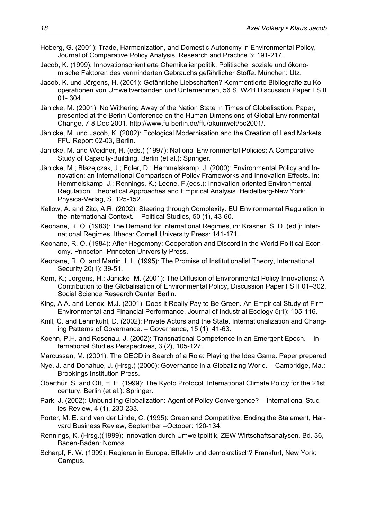Hoberg, G. (2001): Trade, Harmonization, and Domestic Autonomy in Environmental Policy, Journal of Comparative Policy Analysis: Research and Practice 3: 191-217.

- Jacob, K. (1999). Innovationsorientierte Chemikalienpolitik. Politische, soziale und ökonomische Faktoren des verminderten Gebrauchs gefährlicher Stoffe. München: Utz.
- Jacob, K. und Jörgens, H. (2001): Gefährliche Liebschaften? Kommentierte Bibliografie zu Kooperationen von Umweltverbänden und Unternehmen, 56 S. WZB Discussion Paper FS II 01- 304.
- Jänicke, M. (2001): No Withering Away of the Nation State in Times of Globalisation. Paper, presented at the Berlin Conference on the Human Dimensions of Global Environmental Change, 7-8 Dec 2001. http://www.fu-berlin.de/ffu/akumwelt/bc2001/.
- Jänicke, M. und Jacob, K. (2002): Ecological Modernisation and the Creation of Lead Markets. FFU Report 02-03, Berlin.
- Jänicke, M. and Weidner, H. (eds.) (1997): National Environmental Policies: A Comparative Study of Capacity-Building. Berlin (et al.): Springer.
- Jänicke, M.; Blazejczak, J.; Edler, D.; Hemmelskamp, J. (2000): Environmental Policy and Innovation: an International Comparison of Policy Frameworks and Innovation Effects. In: Hemmelskamp, J.; Rennings, K.; Leone, F.(eds.): Innovation-oriented Environmental Regulation. Theoretical Approaches and Empirical Analysis. Heidelberg-New York: Physica-Verlag, S. 125-152.
- Kellow, A. and Zito, A.R. (2002): Steering through Complexity. EU Environmental Regulation in the International Context. – Political Studies, 50 (1), 43-60.
- Keohane, R. O. (1983): The Demand for International Regimes, in: Krasner, S. D. (ed.): International Regimes, Ithaca: Cornell University Press: 141-171.
- Keohane, R. O. (1984): After Hegemony: Cooperation and Discord in the World Political Economy. Princeton: Princeton University Press.
- Keohane, R. O. and Martin, L.L. (1995): The Promise of Institutionalist Theory, International Security 20(1): 39-51.
- Kern, K.; Jörgens, H.; Jänicke, M. (2001): The Diffusion of Environmental Policy Innovations: A Contribution to the Globalisation of Environmental Policy, Discussion Paper FS II 01–302, Social Science Research Center Berlin.
- King, A.A. and Lenox, M.J. (2001): Does it Really Pay to Be Green. An Empirical Study of Firm Environmental and Financial Performance, Journal of Industrial Ecology 5(1): 105-116.
- Knill, C. and Lehmkuhl, D. (2002): Private Actors and the State. Internationalization and Changing Patterns of Governance. – Governance, 15 (1), 41-63.
- Koehn, P.H. and Rosenau, J. (2002): Transnational Competence in an Emergent Epoch. International Studies Perspectives, 3 (2), 105-127.
- Marcussen, M. (2001). The OECD in Search of a Role: Playing the Idea Game. Paper prepared
- Nye, J. and Donahue, J. (Hrsg.) (2000): Governance in a Globalizing World. Cambridge, Ma.: Brookings Institution Press.
- Oberthür, S. and Ott, H. E. (1999): The Kyoto Protocol. International Climate Policy for the 21st century. Berlin (et al.): Springer.
- Park, J. (2002): Unbundling Globalization: Agent of Policy Convergence? International Studies Review, 4 (1), 230-233.
- Porter, M. E. and van der Linde, C. (1995): Green and Competitive: Ending the Stalement, Harvard Business Review, September –October: 120-134.
- Rennings, K. (Hrsg.)(1999): Innovation durch Umweltpolitik, ZEW Wirtschaftsanalysen, Bd. 36, Baden-Baden: Nomos.
- Scharpf, F. W. (1999): Regieren in Europa. Effektiv und demokratisch? Frankfurt, New York: Campus.